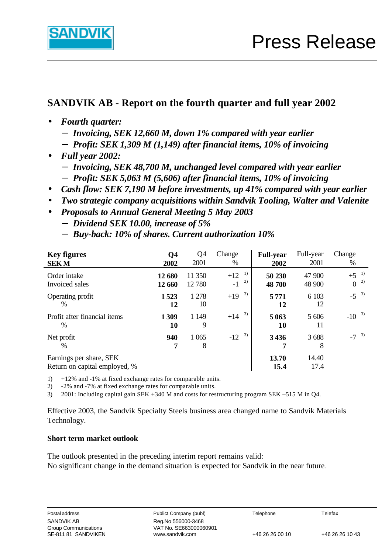

# **SANDVIK AB - Report on the fourth quarter and full year 2002**

- **·** *Fourth quarter:*
	- **-** *Invoicing, SEK 12,660 M, down 1% compared with year earlier*
	- **-** *Profit: SEK 1,309 M (1,149) after financial items, 10% of invoicing*
- **·** *Full year 2002:*
	- **-** *Invoicing, SEK 48,700 M, unchanged level compared with year earlier*
	- **-** *Profit: SEK 5,063 M (5,606) after financial items, 10% of invoicing*
- **·** *Cash flow: SEK 7,190 M before investments, up 41% compared with year earlier*
- **·** *Two strategic company acquisitions within Sandvik Tooling, Walter and Valenite*
- **·** *Proposals to Annual General Meeting 5 May 2003*
	- **-** *Dividend SEK 10.00, increase of 5%*
	- **-** *Buy-back: 10% of shares. Current authorization 10%*

| <b>Key figures</b>                                       | Q4               | Q <sub>4</sub>   | Change                    | <b>Full-year</b> | Full-year        | Change                       |
|----------------------------------------------------------|------------------|------------------|---------------------------|------------------|------------------|------------------------------|
| <b>SEKM</b>                                              | 2002             | 2001             | %                         | 2002             | 2001             | %                            |
| Order intake<br>Invoiced sales                           | 12 680<br>12 660 | 11 350<br>12 780 | 1)<br>$+12$<br>2)<br>$-1$ | 50 230<br>48 700 | 47 900<br>48 900 | 1)<br>$+5$<br>2)<br>$\theta$ |
| Operating profit                                         | 1523             | 1 278            | 3)                        | 5771             | 6 10 3           | $-5^{3}$                     |
| $\%$                                                     | 12               | 10               | $+19$                     | 12               | 12               |                              |
| Profit after financial items                             | 1309             | 1 1 4 9          | 3)                        | 5 0 6 3          | 5 606            | 3)                           |
| $\frac{0}{0}$                                            | 10               | 9                | $+14$                     | 10               | 11               | $-10$                        |
| Net profit<br>$\%$                                       | 940<br>7         | 1 0 6 5<br>8     | 3)<br>$-12$               | 3436             | 3688<br>8        | $-7^{3}$                     |
| Earnings per share, SEK<br>Return on capital employed, % |                  |                  |                           | 13.70<br>15.4    | 14.40<br>17.4    |                              |

1) +12% and -1% at fixed exchange rates for comparable units.

2) -2% and -7% at fixed exchange rates for comparable units.

3) 2001: Including capital gain SEK +340 M and costs for restructuring program SEK –515 M in Q4.

Effective 2003, the Sandvik Specialty Steels business area changed name to Sandvik Materials Technology.

#### **Short term market outlook**

The outlook presented in the preceding interim report remains valid: No significant change in the demand situation is expected for Sandvik in the near future*.*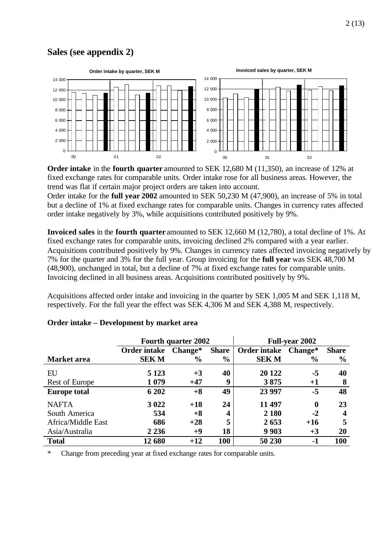### **Sales (see appendix 2)**



**Order intake** in the **fourth quarter** amounted to SEK 12,680 M (11,350), an increase of 12% at fixed exchange rates for comparable units. Order intake rose for all business areas. However, the trend was flat if certain major project orders are taken into account.

Order intake for the **full year 2002** amounted to SEK 50,230 M (47,900), an increase of 5% in total but a decline of 1% at fixed exchange rates for comparable units. Changes in currency rates affected order intake negatively by 3%, while acquisitions contributed positively by 9%.

**Invoiced sales** in the **fourth quarter** amounted to SEK 12,660 M (12,780), a total decline of 1%. At fixed exchange rates for comparable units, invoicing declined 2% compared with a year earlier. Acquisitions contributed positively by 9%. Changes in currency rates affected invoicing negatively by 7% for the quarter and 3% for the full year. Group invoicing for the **full year** was SEK 48,700 M (48,900), unchanged in total, but a decline of 7% at fixed exchange rates for comparable units. Invoicing declined in all business areas. Acquisitions contributed positively by 9%.

Acquisitions affected order intake and invoicing in the quarter by SEK 1,005 M and SEK 1,118 M, respectively. For the full year the effect was SEK 4,306 M and SEK 4,388 M, respectively.

|                     |              | <b>Fourth quarter 2002</b> |                  |                     | <b>Full-year 2002</b> |               |  |  |
|---------------------|--------------|----------------------------|------------------|---------------------|-----------------------|---------------|--|--|
|                     | Order intake | Change*                    | <b>Share</b>     | <b>Order intake</b> | Change*               | <b>Share</b>  |  |  |
| <b>Market</b> area  | <b>SEKM</b>  | $\frac{6}{9}$              | $\frac{6}{9}$    | <b>SEKM</b>         | $\%$                  | $\frac{6}{9}$ |  |  |
| EU                  | 5 1 2 3      | $+3$                       | 40               | 20 122              | -5                    | 40            |  |  |
| Rest of Europe      | 1 0 7 9      | $+47$                      | 9                | 3875                | $+1$                  | 8             |  |  |
| <b>Europe total</b> | 6 202        | $+8$                       | 49               | 23 9 9 7            | $-5$                  | 48            |  |  |
| <b>NAFTA</b>        | 3 0 2 2      | $+18$                      | 24               | 11 497              | $\bf{0}$              | 23            |  |  |
| South America       | 534          | $+8$                       | $\boldsymbol{4}$ | 2 1 8 0             | $-2$                  | 4             |  |  |
| Africa/Middle East  | 686          | $+28$                      | 5                | 2653                | $+16$                 | 5             |  |  |
| Asia/Australia      | 2 2 3 6      | $+9$                       | 18               | 9 9 0 3             | $+3$                  | <b>20</b>     |  |  |
| <b>Total</b>        | 12 680       | $+12$                      | 100              | 50 230              | -1                    | 100           |  |  |

#### **Order intake – Development by market area**

\* Change from preceding year at fixed exchange rates for comparable units.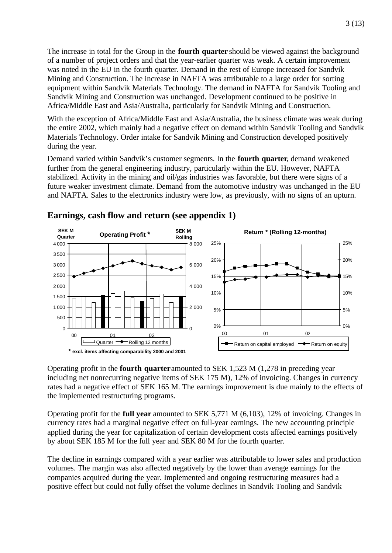The increase in total for the Group in the **fourth quarter** should be viewed against the background of a number of project orders and that the year-earlier quarter was weak. A certain improvement was noted in the EU in the fourth quarter. Demand in the rest of Europe increased for Sandvik Mining and Construction. The increase in NAFTA was attributable to a large order for sorting equipment within Sandvik Materials Technology. The demand in NAFTA for Sandvik Tooling and Sandvik Mining and Construction was unchanged. Development continued to be positive in Africa/Middle East and Asia/Australia, particularly for Sandvik Mining and Construction.

With the exception of Africa/Middle East and Asia/Australia, the business climate was weak during the entire 2002, which mainly had a negative effect on demand within Sandvik Tooling and Sandvik Materials Technology. Order intake for Sandvik Mining and Construction developed positively during the year.

Demand varied within Sandvik's customer segments. In the **fourth quarter**, demand weakened further from the general engineering industry, particularly within the EU. However, NAFTA stabilized. Activity in the mining and oil/gas industries was favorable, but there were signs of a future weaker investment climate. Demand from the automotive industry was unchanged in the EU and NAFTA. Sales to the electronics industry were low, as previously, with no signs of an upturn.



#### **Earnings, cash flow and return (see appendix 1)**

Operating profit in the **fourth quarter** amounted to SEK 1,523 M (1,278 in preceding year including net nonrecurring negative items of SEK 175 M), 12% of invoicing. Changes in currency rates had a negative effect of SEK 165 M. The earnings improvement is due mainly to the effects of the implemented restructuring programs.

Operating profit for the **full year** amounted to SEK 5,771 M (6,103), 12% of invoicing. Changes in currency rates had a marginal negative effect on full-year earnings. The new accounting principle applied during the year for capitalization of certain development costs affected earnings positively by about SEK 185 M for the full year and SEK 80 M for the fourth quarter.

The decline in earnings compared with a year earlier was attributable to lower sales and production volumes. The margin was also affected negatively by the lower than average earnings for the companies acquired during the year. Implemented and ongoing restructuring measures had a positive effect but could not fully offset the volume declines in Sandvik Tooling and Sandvik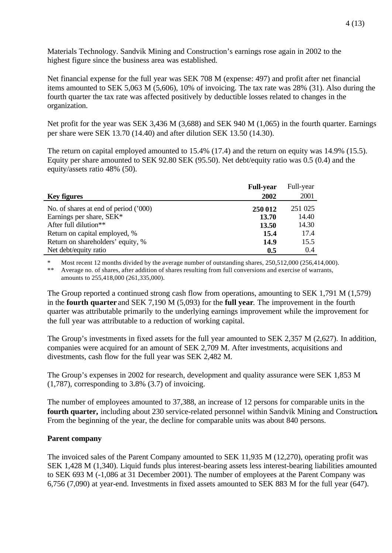Materials Technology. Sandvik Mining and Construction's earnings rose again in 2002 to the highest figure since the business area was established.

Net financial expense for the full year was SEK 708 M (expense: 497) and profit after net financial items amounted to SEK 5,063 M (5,606), 10% of invoicing. The tax rate was 28% (31). Also during the fourth quarter the tax rate was affected positively by deductible losses related to changes in the organization.

Net profit for the year was SEK 3,436 M (3,688) and SEK 940 M (1,065) in the fourth quarter. Earnings per share were SEK 13.70 (14.40) and after dilution SEK 13.50 (14.30).

The return on capital employed amounted to 15.4% (17.4) and the return on equity was 14.9% (15.5). Equity per share amounted to SEK 92.80 SEK (95.50). Net debt/equity ratio was 0.5 (0.4) and the equity/assets ratio 48% (50).

|                                                                   | <b>Full-year</b> | Full-year        |
|-------------------------------------------------------------------|------------------|------------------|
| <b>Key figures</b>                                                | 2002             | 2001             |
| No. of shares at end of period ('000)<br>Earnings per share, SEK* | 250 012<br>13.70 | 251 025<br>14.40 |
| After full dilution**                                             | 13.50            | 14.30            |
| Return on capital employed, %                                     | 15.4             | 17.4             |
| Return on shareholders' equity, %                                 | 14.9             | 15.5             |
| Net debt/equity ratio                                             | 0.5              | 0.4              |

Most recent 12 months divided by the average number of outstanding shares, 250,512,000 (256,414,000). \*\* Average no. of shares, after addition of shares resulting from full conversions and exercise of warrants, amounts to 255,418,000 (261,335,000).

The Group reported a continued strong cash flow from operations, amounting to SEK 1,791 M (1,579) in the **fourth quarter** and SEK 7,190 M (5,093) for the **full year**. The improvement in the fourth quarter was attributable primarily to the underlying earnings improvement while the improvement for the full year was attributable to a reduction of working capital.

The Group's investments in fixed assets for the full year amounted to SEK 2,357 M (2,627). In addition, companies were acquired for an amount of SEK 2,709 M. After investments, acquisitions and divestments, cash flow for the full year was SEK 2,482 M.

The Group's expenses in 2002 for research, development and quality assurance were SEK 1,853 M (1,787), corresponding to 3.8% (3.7) of invoicing.

The number of employees amounted to 37,388, an increase of 12 persons for comparable units in the **fourth quarter,** including about 230 service-related personnel within Sandvik Mining and Construction**.** From the beginning of the year, the decline for comparable units was about 840 persons.

#### **Parent company**

The invoiced sales of the Parent Company amounted to SEK 11,935 M (12,270), operating profit was SEK 1,428 M (1,340). Liquid funds plus interest-bearing assets less interest-bearing liabilities amounted to SEK 693 M (-1,086 at 31 December 2001). The number of employees at the Parent Company was 6,756 (7,090) at year-end. Investments in fixed assets amounted to SEK 883 M for the full year (647).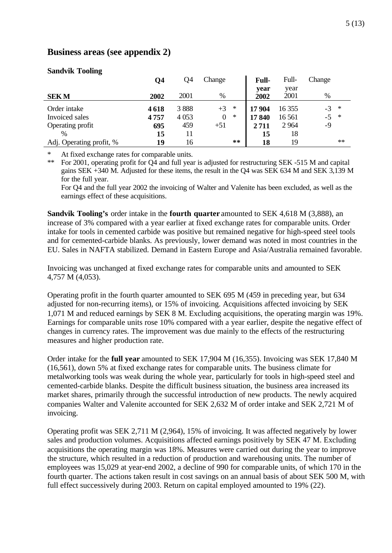### **Business areas (see appendix 2)**

| o                        | Q4   | Q4      | Change                   | Full-        | Full-        | Change |
|--------------------------|------|---------|--------------------------|--------------|--------------|--------|
| <b>SEKM</b>              | 2002 | 2001    | $\%$                     | year<br>2002 | year<br>2001 | %      |
| Order intake             | 4618 | 3888    | $+3$<br>$*$              | 17 904       | 16 355       | $-3$ * |
| Invoiced sales           | 4757 | 4 0 5 3 | $\overline{0}$<br>$\ast$ | 17840        | 16 5 61      | $-5$ * |
| Operating profit         | 695  | 459     | $+51$                    | 2711         | 2964         | $-9$   |
| $\%$                     | 15   | 11      |                          | 15           | 18           |        |
| Adj. Operating profit, % | 19   | 16      | $***$                    | 18           | 19           | $**$   |

#### **Sandvik Tooling**

\* At fixed exchange rates for comparable units.<br>\*\* For 2001 operating profit for  $\Omega_4$  and full year

For 2001, operating profit for  $Q<sup>2</sup>$  and full year is adjusted for restructuring SEK -515 M and capital gains SEK +340 M. Adjusted for these items, the result in the Q4 was SEK 634 M and SEK 3,139 M for the full year.

For Q4 and the full year 2002 the invoicing of Walter and Valenite has been excluded, as well as the earnings effect of these acquisitions.

**Sandvik Tooling's** order intake in the **fourth quarter** amounted to SEK 4,618 M (3,888), an increase of 3% compared with a year earlier at fixed exchange rates for comparable units. Order intake for tools in cemented carbide was positive but remained negative for high-speed steel tools and for cemented-carbide blanks. As previously, lower demand was noted in most countries in the EU. Sales in NAFTA stabilized. Demand in Eastern Europe and Asia/Australia remained favorable.

Invoicing was unchanged at fixed exchange rates for comparable units and amounted to SEK 4,757 M (4,053).

Operating profit in the fourth quarter amounted to SEK 695 M (459 in preceding year, but 634 adjusted for non-recurring items), or 15% of invoicing. Acquisitions affected invoicing by SEK 1,071 M and reduced earnings by SEK 8 M. Excluding acquisitions, the operating margin was 19%. Earnings for comparable units rose 10% compared with a year earlier, despite the negative effect of changes in currency rates. The improvement was due mainly to the effects of the restructuring measures and higher production rate.

Order intake for the **full year** amounted to SEK 17,904 M (16,355). Invoicing was SEK 17,840 M (16,561), down 5% at fixed exchange rates for comparable units. The business climate for metalworking tools was weak during the whole year, particularly for tools in high-speed steel and cemented-carbide blanks. Despite the difficult business situation, the business area increased its market shares, primarily through the successful introduction of new products. The newly acquired companies Walter and Valenite accounted for SEK 2,632 M of order intake and SEK 2,721 M of invoicing.

Operating profit was SEK 2,711 M (2,964), 15% of invoicing. It was affected negatively by lower sales and production volumes. Acquisitions affected earnings positively by SEK 47 M. Excluding acquisitions the operating margin was 18%. Measures were carried out during the year to improve the structure, which resulted in a reduction of production and warehousing units. The number of employees was 15,029 at year-end 2002, a decline of 990 for comparable units, of which 170 in the fourth quarter. The actions taken result in cost savings on an annual basis of about SEK 500 M, with full effect successively during 2003. Return on capital employed amounted to 19% (22).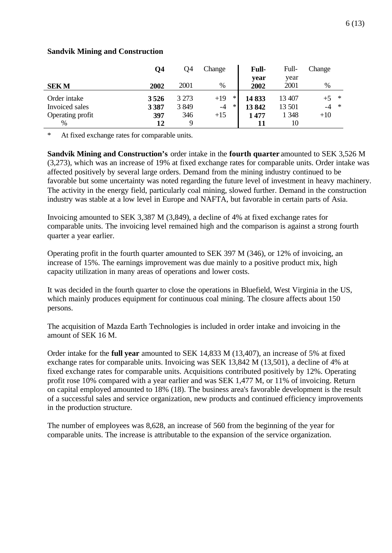|                  | О4   | Q <sub>4</sub> | Change          | <b>Full-</b> | Full-   | Change         |
|------------------|------|----------------|-----------------|--------------|---------|----------------|
|                  |      |                |                 | vear         | year    |                |
| <b>SEKM</b>      | 2002 | 2001           | $\%$            | 2002         | 2001    | $\%$           |
| Order intake     | 3526 | 3 2 7 3        | $\ast$<br>$+19$ | 14833        | 13 407  | *              |
| Invoiced sales   | 3387 | 3849           | $\ast$<br>$-4$  | 13842        | 13 501  | $\ast$<br>$-4$ |
| Operating profit | 397  | 346            | $+15$           | 1477         | 1 3 4 8 | $+10$          |
| $\%$             | 12   | 9              |                 |              | 10      |                |

#### **Sandvik Mining and Construction**

\* At fixed exchange rates for comparable units.

**Sandvik Mining and Construction's** order intake in the **fourth quarter** amounted to SEK 3,526 M (3,273), which was an increase of 19% at fixed exchange rates for comparable units. Order intake was affected positively by several large orders. Demand from the mining industry continued to be favorable but some uncertainty was noted regarding the future level of investment in heavy machinery. The activity in the energy field, particularly coal mining, slowed further. Demand in the construction industry was stable at a low level in Europe and NAFTA, but favorable in certain parts of Asia.

Invoicing amounted to SEK 3,387 M (3,849), a decline of 4% at fixed exchange rates for comparable units. The invoicing level remained high and the comparison is against a strong fourth quarter a year earlier.

Operating profit in the fourth quarter amounted to SEK 397 M (346), or 12% of invoicing, an increase of 15%. The earnings improvement was due mainly to a positive product mix, high capacity utilization in many areas of operations and lower costs.

It was decided in the fourth quarter to close the operations in Bluefield, West Virginia in the US, which mainly produces equipment for continuous coal mining. The closure affects about 150 persons.

The acquisition of Mazda Earth Technologies is included in order intake and invoicing in the amount of SEK 16 M.

Order intake for the **full year** amounted to SEK 14,833 M (13,407), an increase of 5% at fixed exchange rates for comparable units. Invoicing was SEK 13,842 M (13,501), a decline of 4% at fixed exchange rates for comparable units. Acquisitions contributed positively by 12%. Operating profit rose 10% compared with a year earlier and was SEK 1,477 M, or 11% of invoicing. Return on capital employed amounted to 18% (18). The business area's favorable development is the result of a successful sales and service organization, new products and continued efficiency improvements in the production structure.

The number of employees was 8,628, an increase of 560 from the beginning of the year for comparable units. The increase is attributable to the expansion of the service organization.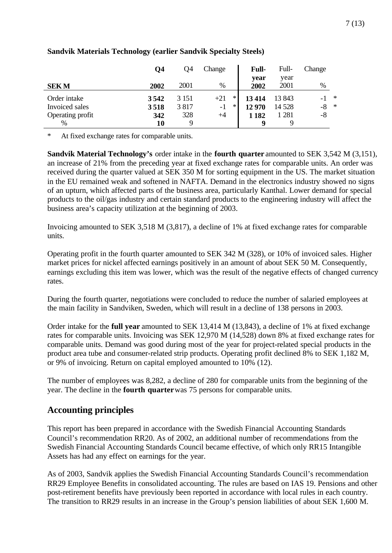|                  | Q4   | Q4      | Change |        | <b>Full-</b> | Full-   | Change |        |
|------------------|------|---------|--------|--------|--------------|---------|--------|--------|
|                  |      |         |        |        | year         | year    |        |        |
| <b>SEKM</b>      | 2002 | 2001    | %      |        | 2002         | 2001    | $\%$   |        |
| Order intake     | 3542 | 3 1 5 1 | $+21$  | ∗      | 13414        | 13 843  |        | $\ast$ |
| Invoiced sales   | 3518 | 3817    | $-1$   | $\ast$ | 12 970       | 14 5 28 | $-8$   | $\ast$ |
| Operating profit | 342  | 328     | $+4$   |        | 1 1 8 2      | 1 281   | -8     |        |
| %                | 10   | Q       |        |        |              |         |        |        |

#### **Sandvik Materials Technology (earlier Sandvik Specialty Steels)**

At fixed exchange rates for comparable units.

**Sandvik Material Technology's** order intake in the **fourth quarter** amounted to SEK 3,542 M (3,151), an increase of 21% from the preceding year at fixed exchange rates for comparable units. An order was received during the quarter valued at SEK 350 M for sorting equipment in the US. The market situation in the EU remained weak and softened in NAFTA. Demand in the electronics industry showed no signs of an upturn, which affected parts of the business area, particularly Kanthal. Lower demand for special products to the oil/gas industry and certain standard products to the engineering industry will affect the business area's capacity utilization at the beginning of 2003.

Invoicing amounted to SEK 3,518 M (3,817), a decline of 1% at fixed exchange rates for comparable units.

Operating profit in the fourth quarter amounted to SEK 342 M (328), or 10% of invoiced sales. Higher market prices for nickel affected earnings positively in an amount of about SEK 50 M. Consequently, earnings excluding this item was lower, which was the result of the negative effects of changed currency rates.

During the fourth quarter, negotiations were concluded to reduce the number of salaried employees at the main facility in Sandviken, Sweden, which will result in a decline of 138 persons in 2003.

Order intake for the **full year** amounted to SEK 13,414 M (13,843), a decline of 1% at fixed exchange rates for comparable units. Invoicing was SEK 12,970 M (14,528) down 8% at fixed exchange rates for comparable units. Demand was good during most of the year for project-related special products in the product area tube and consumer-related strip products. Operating profit declined 8% to SEK 1,182 M, or 9% of invoicing. Return on capital employed amounted to 10% (12).

The number of employees was 8,282, a decline of 280 for comparable units from the beginning of the year. The decline in the **fourth quarter** was 75 persons for comparable units.

# **Accounting principles**

This report has been prepared in accordance with the Swedish Financial Accounting Standards Council's recommendation RR20. As of 2002, an additional number of recommendations from the Swedish Financial Accounting Standards Council became effective, of which only RR15 Intangible Assets has had any effect on earnings for the year.

As of 2003, Sandvik applies the Swedish Financial Accounting Standards Council's recommendation RR29 Employee Benefits in consolidated accounting. The rules are based on IAS 19. Pensions and other post-retirement benefits have previously been reported in accordance with local rules in each country. The transition to RR29 results in an increase in the Group's pension liabilities of about SEK 1,600 M.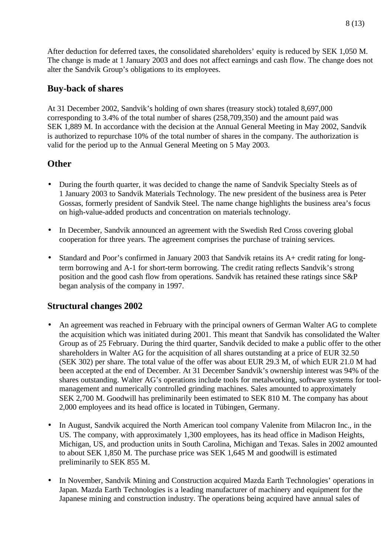After deduction for deferred taxes, the consolidated shareholders' equity is reduced by SEK 1,050 M. The change is made at 1 January 2003 and does not affect earnings and cash flow. The change does not alter the Sandvik Group's obligations to its employees.

## **Buy-back of shares**

At 31 December 2002, Sandvik's holding of own shares (treasury stock) totaled 8,697,000 corresponding to 3.4% of the total number of shares (258,709,350) and the amount paid was SEK 1,889 M. In accordance with the decision at the Annual General Meeting in May 2002, Sandvik is authorized to repurchase 10% of the total number of shares in the company. The authorization is valid for the period up to the Annual General Meeting on 5 May 2003.

## **Other**

- During the fourth quarter, it was decided to change the name of Sandvik Specialty Steels as of 1 January 2003 to Sandvik Materials Technology. The new president of the business area is Peter Gossas, formerly president of Sandvik Steel. The name change highlights the business area's focus on high-value-added products and concentration on materials technology.
- In December, Sandvik announced an agreement with the Swedish Red Cross covering global cooperation for three years. The agreement comprises the purchase of training services.
- Standard and Poor's confirmed in January 2003 that Sandvik retains its A+ credit rating for longterm borrowing and A-1 for short-term borrowing. The credit rating reflects Sandvik's strong position and the good cash flow from operations. Sandvik has retained these ratings since S&P began analysis of the company in 1997.

# **Structural changes 2002**

- An agreement was reached in February with the principal owners of German Walter AG to complete the acquisition which was initiated during 2001. This meant that Sandvik has consolidated the Walter Group as of 25 February. During the third quarter, Sandvik decided to make a public offer to the other shareholders in Walter AG for the acquisition of all shares outstanding at a price of EUR 32.50 (SEK 302) per share. The total value of the offer was about EUR 29.3 M, of which EUR 21.0 M had been accepted at the end of December. At 31 December Sandvik's ownership interest was 94% of the shares outstanding. Walter AG's operations include tools for metalworking, software systems for toolmanagement and numerically controlled grinding machines. Sales amounted to approximately SEK 2,700 M. Goodwill has preliminarily been estimated to SEK 810 M. The company has about 2,000 employees and its head office is located in Tübingen, Germany.
- In August, Sandvik acquired the North American tool company Valenite from Milacron Inc., in the US. The company, with approximately 1,300 employees, has its head office in Madison Heights, Michigan, US, and production units in South Carolina, Michigan and Texas. Sales in 2002 amounted to about SEK 1,850 M. The purchase price was SEK 1,645 M and goodwill is estimated preliminarily to SEK 855 M.
- In November, Sandvik Mining and Construction acquired Mazda Earth Technologies' operations in Japan. Mazda Earth Technologies is a leading manufacturer of machinery and equipment for the Japanese mining and construction industry. The operations being acquired have annual sales of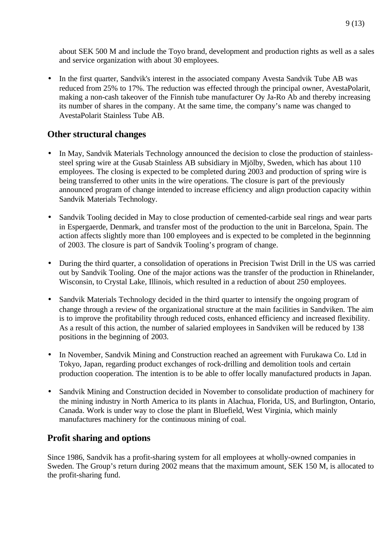about SEK 500 M and include the Toyo brand, development and production rights as well as a sales and service organization with about 30 employees.

• In the first quarter, Sandvik's interest in the associated company Avesta Sandvik Tube AB was reduced from 25% to 17%. The reduction was effected through the principal owner, AvestaPolarit, making a non-cash takeover of the Finnish tube manufacturer Oy Ja-Ro Ab and thereby increasing its number of shares in the company. At the same time, the company's name was changed to AvestaPolarit Stainless Tube AB.

## **Other structural changes**

- In May, Sandvik Materials Technology announced the decision to close the production of stainlesssteel spring wire at the Gusab Stainless AB subsidiary in Mjölby, Sweden, which has about 110 employees. The closing is expected to be completed during 2003 and production of spring wire is being transferred to other units in the wire operations. The closure is part of the previously announced program of change intended to increase efficiency and align production capacity within Sandvik Materials Technology.
- Sandvik Tooling decided in May to close production of cemented-carbide seal rings and wear parts in Espergaerde, Denmark, and transfer most of the production to the unit in Barcelona, Spain. The action affects slightly more than 100 employees and is expected to be completed in the beginnning of 2003. The closure is part of Sandvik Tooling's program of change.
- During the third quarter, a consolidation of operations in Precision Twist Drill in the US was carried out by Sandvik Tooling. One of the major actions was the transfer of the production in Rhinelander, Wisconsin, to Crystal Lake, Illinois, which resulted in a reduction of about 250 employees.
- Sandvik Materials Technology decided in the third quarter to intensify the ongoing program of change through a review of the organizational structure at the main facilities in Sandviken. The aim is to improve the profitability through reduced costs, enhanced efficiency and increased flexibility. As a result of this action, the number of salaried employees in Sandviken will be reduced by 138 positions in the beginning of 2003.
- In November, Sandvik Mining and Construction reached an agreement with Furukawa Co. Ltd in Tokyo, Japan, regarding product exchanges of rock-drilling and demolition tools and certain production cooperation. The intention is to be able to offer locally manufactured products in Japan.
- Sandvik Mining and Construction decided in November to consolidate production of machinery for the mining industry in North America to its plants in Alachua, Florida, US, and Burlington, Ontario, Canada. Work is under way to close the plant in Bluefield, West Virginia, which mainly manufactures machinery for the continuous mining of coal.

# **Profit sharing and options**

Since 1986, Sandvik has a profit-sharing system for all employees at wholly-owned companies in Sweden. The Group's return during 2002 means that the maximum amount, SEK 150 M, is allocated to the profit-sharing fund.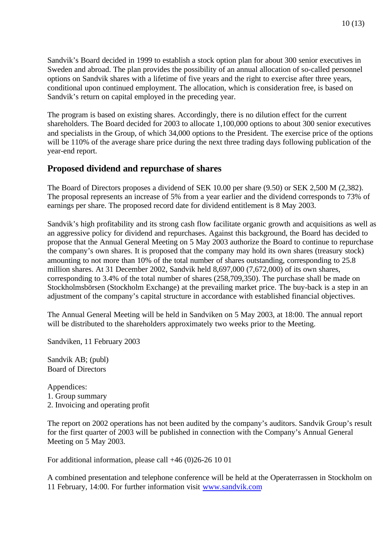The program is based on existing shares. Accordingly, there is no dilution effect for the current shareholders. The Board decided for 2003 to allocate 1,100,000 options to about 300 senior executives and specialists in the Group, of which 34,000 options to the President. The exercise price of the options will be 110% of the average share price during the next three trading days following publication of the year-end report.

### **Proposed dividend and repurchase of shares**

The Board of Directors proposes a dividend of SEK 10.00 per share (9.50) or SEK 2,500 M (2,382). The proposal represents an increase of 5% from a year earlier and the dividend corresponds to 73% of earnings per share. The proposed record date for dividend entitlement is 8 May 2003.

Sandvik's high profitability and its strong cash flow facilitate organic growth and acquisitions as well as an aggressive policy for dividend and repurchases. Against this background, the Board has decided to propose that the Annual General Meeting on 5 May 2003 authorize the Board to continue to repurchase the company's own shares. It is proposed that the company may hold its own shares (treasury stock) amounting to not more than 10% of the total number of shares outstanding, corresponding to 25.8 million shares. At 31 December 2002, Sandvik held 8,697,000 (7,672,000) of its own shares, corresponding to 3.4% of the total number of shares (258,709,350). The purchase shall be made on Stockholmsbörsen (Stockholm Exchange) at the prevailing market price. The buy-back is a step in an adjustment of the company's capital structure in accordance with established financial objectives.

The Annual General Meeting will be held in Sandviken on 5 May 2003, at 18:00. The annual report will be distributed to the shareholders approximately two weeks prior to the Meeting.

Sandviken, 11 February 2003

Sandvik AB; (publ) Board of Directors

Appendices: 1. Group summary 2. Invoicing and operating profit

The report on 2002 operations has not been audited by the company's auditors. Sandvik Group's result for the first quarter of 2003 will be published in connection with the Company's Annual General Meeting on 5 May 2003.

For additional information, please call +46 (0)26-26 10 01

A combined presentation and telephone conference will be held at the Operaterrassen in Stockholm on 11 February, 14:00. For further information visit www.sandvik.com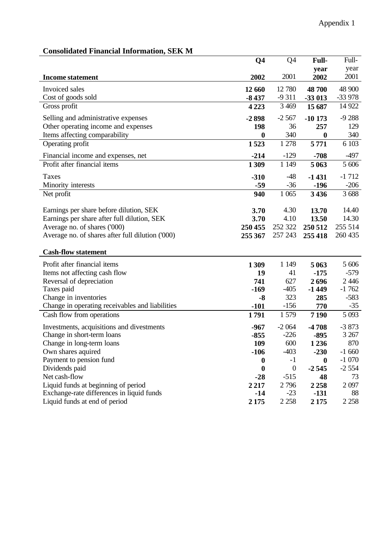| onsongacg i mancial miorinagon, seri ni          |                | Q4               |                  | Full-    |
|--------------------------------------------------|----------------|------------------|------------------|----------|
|                                                  | Q <sub>4</sub> |                  | Full-            |          |
|                                                  |                |                  | year             | year     |
| <b>Income statement</b>                          | 2002           | 2001             | 2002             | 2001     |
| Invoiced sales                                   | 12 660         | 12 780           | 48 700           | 48 900   |
| Cost of goods sold                               | $-8437$        | $-9311$          | -33 013          | $-33978$ |
| Gross profit                                     | 4 2 2 3        | 3 4 6 9          | 15 687           | 14 9 22  |
| Selling and administrative expenses              | $-2898$        | $-2,567$         | $-10173$         | $-9288$  |
| Other operating income and expenses              | 198            | 36               | 257              | 129      |
| Items affecting comparability                    | $\mathbf{0}$   | 340              | $\boldsymbol{0}$ | 340      |
| Operating profit                                 | 1523           | 1 278            | 5771             | 6 10 3   |
| Financial income and expenses, net               | $-214$         | $-129$           | $-708$           | $-497$   |
| Profit after financial items                     | 1309           | 1 1 4 9          | 5 0 6 3          | 5 606    |
|                                                  |                |                  |                  |          |
| Taxes                                            | $-310$         | $-48$            | $-1431$          | $-1712$  |
| Minority interests                               | $-59$          | $-36$            | $-196$           | $-206$   |
| Net profit                                       | 940            | 1 0 65           | 3436             | 3688     |
|                                                  |                |                  |                  |          |
| Earnings per share before dilution, SEK          | 3.70           | 4.30             | 13.70            | 14.40    |
| Earnings per share after full dilution, SEK      | 3.70           | 4.10             | 13.50            | 14.30    |
| Average no. of shares ('000)                     | 250 455        | 252 322          | 250 512          | 255 514  |
| Average no. of shares after full dilution ('000) | 255 367        | 257 243          | 255 418          | 260 435  |
| <b>Cash-flow statement</b>                       |                |                  |                  |          |
| Profit after financial items                     | 1309           | 1 1 4 9          | 5 0 6 3          | 5 606    |
| Items not affecting cash flow                    | 19             | 41               | $-175$           | $-579$   |
| Reversal of depreciation                         | 741            | 627              | 2696             | 2446     |
| Taxes paid                                       | $-169$         | $-405$           | $-1449$          | $-1762$  |
| Change in inventories                            |                | 323              | 285              | $-583$   |
| Change in operating receivables and liabilities  | $-8$<br>$-101$ | $-156$           | 770              | $-35$    |
| Cash flow from operations                        | 1791           | 1579             | 7 1 9 0          | 5 0 9 3  |
|                                                  |                |                  |                  |          |
| Investments, acquisitions and divestments        | $-967$         | $-2064$          | $-4708$          | $-3873$  |
| Change in short-term loans                       | $-855$         | $-226$           | $-895$           | 3 2 6 7  |
| Change in long-term loans                        | 109            | 600              | 1236             | 870      |
| Own shares aquired                               | $-106$         | $-403$           | $-230$           | $-1660$  |
| Payment to pension fund                          | 0              | $-1$             | 0                | $-1070$  |
| Dividends paid                                   | $\bf{0}$       | $\boldsymbol{0}$ | $-2545$          | $-2554$  |
| Net cash-flow                                    | $-28$          | $-515$           | 48               | 73       |
| Liquid funds at beginning of period              | 2 2 1 7        | 2796             | 2258             | 2097     |
| Exchange-rate differences in liquid funds        | $-14$          | $-23$            | $-131$           | 88       |
| Liquid funds at end of period                    | 2 1 7 5        | 2 2 5 8          | 2 1 7 5          | 2 2 5 8  |

#### **Consolidated Financial Information, SEK M**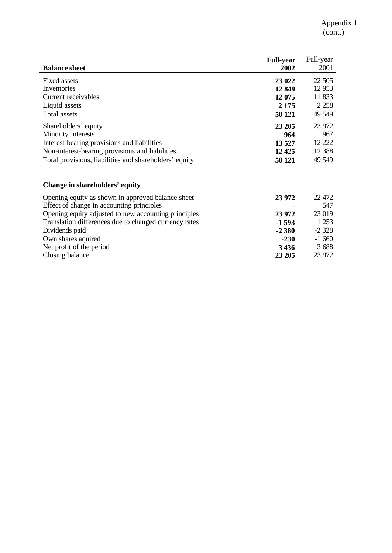|                                                        | <b>Full-year</b> | Full-year |
|--------------------------------------------------------|------------------|-----------|
| <b>Balance sheet</b>                                   | 2002             | 2001      |
| Fixed assets                                           | 23 022           | 22 5 05   |
| Inventories                                            | 12849            | 12 9 53   |
| Current receivables                                    | 12 075           | 11 833    |
| Liquid assets                                          | 2 1 7 5          | 2 2 5 8   |
| Total assets                                           | 50 121           | 49 549    |
| Shareholders' equity                                   | 23 205           | 23 972    |
| Minority interests                                     | 964              | 967       |
| Interest-bearing provisions and liabilities            | 13 5 27          | 12 222    |
| Non-interest-bearing provisions and liabilities        | 12 4 25          | 12 3 8 8  |
| Total provisions, liabilities and shareholders' equity | 50 121           | 49 549    |

# **Change in shareholders' equity**

| Opening equity as shown in approved balance sheet              | 23 972  | 22 472  |
|----------------------------------------------------------------|---------|---------|
| Effect of change in accounting principles                      |         | 547     |
| Opening equity adjusted to new accounting principles<br>23 972 |         | 23 019  |
| Translation differences due to changed currency rates          | $-1593$ | 1 2 5 3 |
| Dividends paid                                                 | $-2380$ | $-2328$ |
| Own shares aquired                                             | $-230$  | $-1660$ |
| Net profit of the period                                       | 3436    | 3688    |
| Closing balance                                                | 23 20 5 | 23 972  |